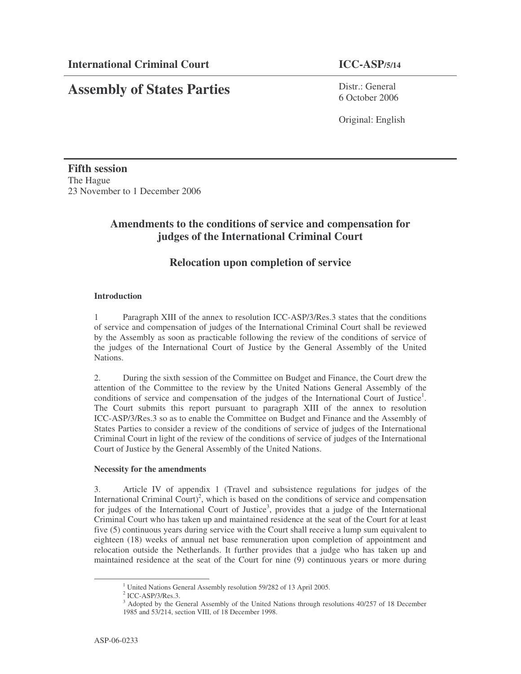# **Assembly of States Parties**

Distr · General 6 October 2006

Original: English

**Fifth session** The Hague 23 November to 1 December 2006

## **Amendments to the conditions of service and compensation for judges of the International Criminal Court**

### **Relocation upon completion of service**

#### **Introduction**

1 Paragraph XIII of the annex to resolution ICC-ASP/3/Res.3 states that the conditions of service and compensation of judges of the International Criminal Court shall be reviewed by the Assembly as soon as practicable following the review of the conditions of service of the judges of the International Court of Justice by the General Assembly of the United Nations.

2. During the sixth session of the Committee on Budget and Finance, the Court drew the attention of the Committee to the review by the United Nations General Assembly of the conditions of service and compensation of the judges of the International Court of Justice<sup>1</sup>. The Court submits this report pursuant to paragraph XIII of the annex to resolution ICC-ASP/3/Res.3 so as to enable the Committee on Budget and Finance and the Assembly of States Parties to consider a review of the conditions of service of judges of the International Criminal Court in light of the review of the conditions of service of judges of the International Court of Justice by the General Assembly of the United Nations.

#### **Necessity for the amendments**

3. Article IV of appendix 1 (Travel and subsistence regulations for judges of the International Criminal Court)<sup>2</sup>, which is based on the conditions of service and compensation for judges of the International Court of Justice<sup>3</sup>, provides that a judge of the International Criminal Court who has taken up and maintained residence at the seat of the Court for at least five (5) continuous years during service with the Court shall receive a lump sum equivalent to eighteen (18) weeks of annual net base remuneration upon completion of appointment and relocation outside the Netherlands. It further provides that a judge who has taken up and maintained residence at the seat of the Court for nine (9) continuous years or more during

<sup>&</sup>lt;sup>1</sup> United Nations General Assembly resolution 59/282 of 13 April 2005.

 $<sup>2</sup>$  ICC-ASP/3/Res.3.</sup>

<sup>&</sup>lt;sup>3</sup> Adopted by the General Assembly of the United Nations through resolutions 40/257 of 18 December 1985 and 53/214, section VIII, of 18 December 1998.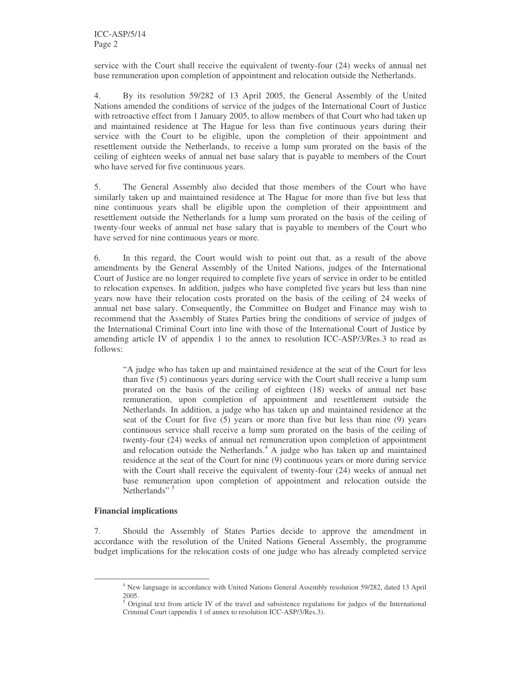service with the Court shall receive the equivalent of twenty-four (24) weeks of annual net base remuneration upon completion of appointment and relocation outside the Netherlands.

4. By its resolution 59/282 of 13 April 2005, the General Assembly of the United Nations amended the conditions of service of the judges of the International Court of Justice with retroactive effect from 1 January 2005, to allow members of that Court who had taken up and maintained residence at The Hague for less than five continuous years during their service with the Court to be eligible, upon the completion of their appointment and resettlement outside the Netherlands, to receive a lump sum prorated on the basis of the ceiling of eighteen weeks of annual net base salary that is payable to members of the Court who have served for five continuous years.

5. The General Assembly also decided that those members of the Court who have similarly taken up and maintained residence at The Hague for more than five but less that nine continuous years shall be eligible upon the completion of their appointment and resettlement outside the Netherlands for a lump sum prorated on the basis of the ceiling of twenty-four weeks of annual net base salary that is payable to members of the Court who have served for nine continuous years or more.

6. In this regard, the Court would wish to point out that, as a result of the above amendments by the General Assembly of the United Nations, judges of the International Court of Justice are no longer required to complete five years of service in order to be entitled to relocation expenses. In addition, judges who have completed five years but less than nine years now have their relocation costs prorated on the basis of the ceiling of 24 weeks of annual net base salary. Consequently, the Committee on Budget and Finance may wish to recommend that the Assembly of States Parties bring the conditions of service of judges of the International Criminal Court into line with those of the International Court of Justice by amending article IV of appendix 1 to the annex to resolution ICC-ASP/3/Res.3 to read as follows:

"A judge who has taken up and maintained residence at the seat of the Court for less than five (5) continuous years during service with the Court shall receive a lump sum prorated on the basis of the ceiling of eighteen (18) weeks of annual net base remuneration, upon completion of appointment and resettlement outside the Netherlands. In addition, a judge who has taken up and maintained residence at the seat of the Court for five (5) years or more than five but less than nine (9) years continuous service shall receive a lump sum prorated on the basis of the ceiling of twenty-four (24) weeks of annual net remuneration upon completion of appointment and relocation outside the Netherlands. <sup>4</sup> A judge who has taken up and maintained residence at the seat of the Court for nine (9) continuous years or more during service with the Court shall receive the equivalent of twenty-four (24) weeks of annual net base remuneration upon completion of appointment and relocation outside the Netherlands"<sup>5</sup>

#### **Financial implications**

7. Should the Assembly of States Parties decide to approve the amendment in accordance with the resolution of the United Nations General Assembly, the programme budget implications for the relocation costs of one judge who has already completed service

<sup>4</sup> New language in accordance with United Nations General Assembly resolution 59/282, dated 13 April 2005.

<sup>&</sup>lt;sup>5</sup> Original text from article IV of the travel and subsistence regulations for judges of the International Criminal Court (appendix 1 of annex to resolution ICC-ASP/3/Res.3).